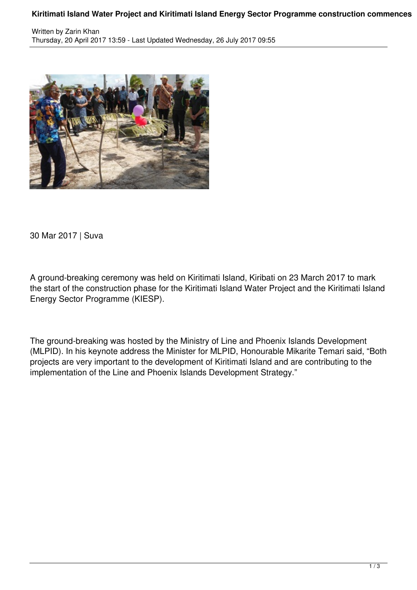## **Kiritimati Island Water Project and Kiritimati Island Energy Sector Programme construction commences**



30 Mar 2017 | Suva

A ground-breaking ceremony was held on Kiritimati Island, Kiribati on 23 March 2017 to mark the start of the construction phase for the Kiritimati Island Water Project and the Kiritimati Island Energy Sector Programme (KIESP).

The ground-breaking was hosted by the Ministry of Line and Phoenix Islands Development (MLPID). In his keynote address the Minister for MLPID, Honourable Mikarite Temari said, "Both projects are very important to the development of Kiritimati Island and are contributing to the implementation of the Line and Phoenix Islands Development Strategy."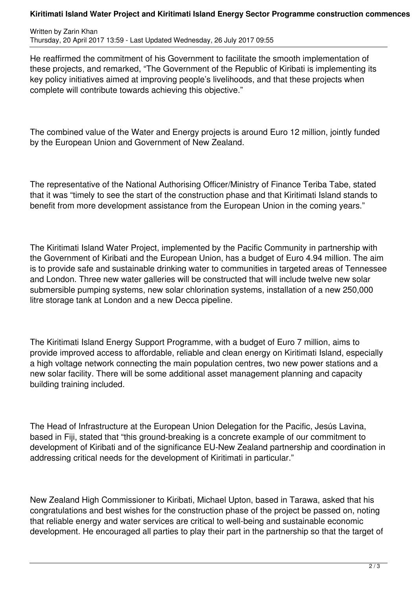## **Kiritimati Island Water Project and Kiritimati Island Energy Sector Programme construction commences**

Written by Zarin Khan Thursday, 20 April 2017 13:59 - Last Updated Wednesday, 26 July 2017 09:55

He reaffirmed the commitment of his Government to facilitate the smooth implementation of these projects, and remarked, "The Government of the Republic of Kiribati is implementing its key policy initiatives aimed at improving people's livelihoods, and that these projects when complete will contribute towards achieving this objective."

The combined value of the Water and Energy projects is around Euro 12 million, jointly funded by the European Union and Government of New Zealand.

The representative of the National Authorising Officer/Ministry of Finance Teriba Tabe, stated that it was "timely to see the start of the construction phase and that Kiritimati Island stands to benefit from more development assistance from the European Union in the coming years."

The Kiritimati Island Water Project, implemented by the Pacific Community in partnership with the Government of Kiribati and the European Union, has a budget of Euro 4.94 million. The aim is to provide safe and sustainable drinking water to communities in targeted areas of Tennessee and London. Three new water galleries will be constructed that will include twelve new solar submersible pumping systems, new solar chlorination systems, installation of a new 250,000 litre storage tank at London and a new Decca pipeline.

The Kiritimati Island Energy Support Programme, with a budget of Euro 7 million, aims to provide improved access to affordable, reliable and clean energy on Kiritimati Island, especially a high voltage network connecting the main population centres, two new power stations and a new solar facility. There will be some additional asset management planning and capacity building training included.

The Head of Infrastructure at the European Union Delegation for the Pacific, Jesús Lavina, based in Fiji, stated that "this ground-breaking is a concrete example of our commitment to development of Kiribati and of the significance EU-New Zealand partnership and coordination in addressing critical needs for the development of Kiritimati in particular."

New Zealand High Commissioner to Kiribati, Michael Upton, based in Tarawa, asked that his congratulations and best wishes for the construction phase of the project be passed on, noting that reliable energy and water services are critical to well-being and sustainable economic development. He encouraged all parties to play their part in the partnership so that the target of